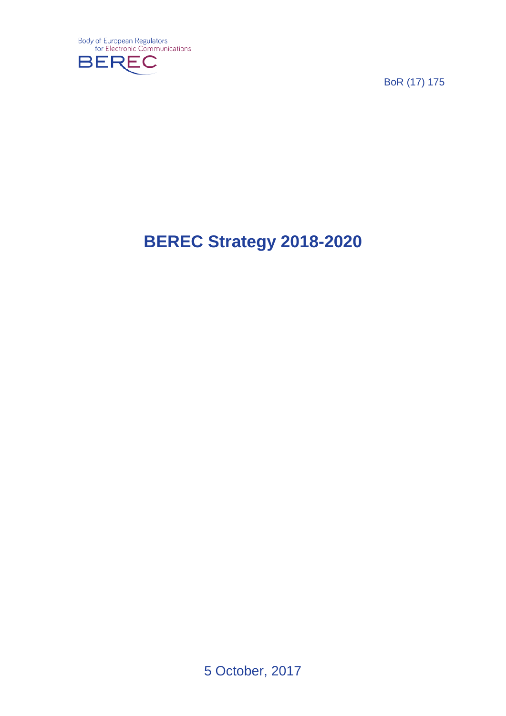

BoR (17) 175

# **BEREC Strategy 2018-2020**

5 October, 2017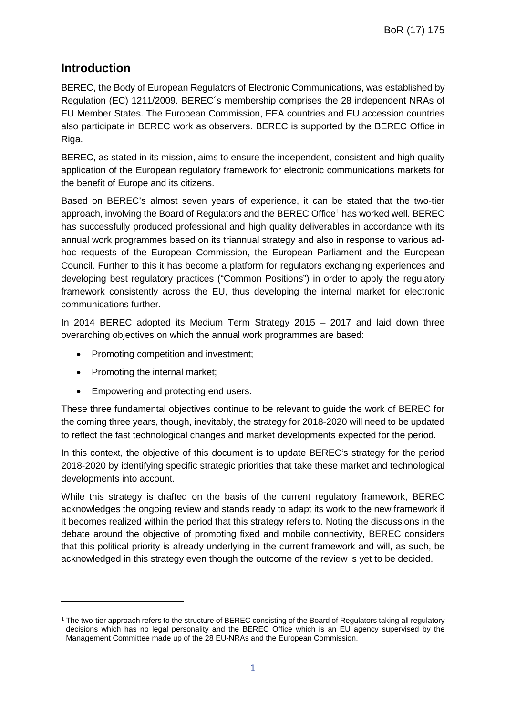## **Introduction**

BEREC, the Body of European Regulators of Electronic Communications, was established by Regulation (EC) 1211/2009. BEREC´s membership comprises the 28 independent NRAs of EU Member States. The European Commission, EEA countries and EU accession countries also participate in BEREC work as observers. BEREC is supported by the BEREC Office in Riga.

BEREC, as stated in its mission, aims to ensure the independent, consistent and high quality application of the European regulatory framework for electronic communications markets for the benefit of Europe and its citizens.

Based on BEREC's almost seven years of experience, it can be stated that the two-tier approach, involving the Board of Regulators and the BEREC Office<sup>[1](#page-1-0)</sup> has worked well. BEREC has successfully produced professional and high quality deliverables in accordance with its annual work programmes based on its triannual strategy and also in response to various adhoc requests of the European Commission, the European Parliament and the European Council. Further to this it has become a platform for regulators exchanging experiences and developing best regulatory practices ("Common Positions") in order to apply the regulatory framework consistently across the EU, thus developing the internal market for electronic communications further.

In 2014 BEREC adopted its Medium Term Strategy 2015 – 2017 and laid down three overarching objectives on which the annual work programmes are based:

- Promoting competition and investment;
- Promoting the internal market;

-

• Empowering and protecting end users.

These three fundamental objectives continue to be relevant to guide the work of BEREC for the coming three years, though, inevitably, the strategy for 2018-2020 will need to be updated to reflect the fast technological changes and market developments expected for the period.

In this context, the objective of this document is to update BEREC's strategy for the period 2018-2020 by identifying specific strategic priorities that take these market and technological developments into account.

While this strategy is drafted on the basis of the current regulatory framework, BEREC acknowledges the ongoing review and stands ready to adapt its work to the new framework if it becomes realized within the period that this strategy refers to. Noting the discussions in the debate around the objective of promoting fixed and mobile connectivity, BEREC considers that this political priority is already underlying in the current framework and will, as such, be acknowledged in this strategy even though the outcome of the review is yet to be decided.

<span id="page-1-0"></span><sup>&</sup>lt;sup>1</sup> The two-tier approach refers to the structure of BEREC consisting of the Board of Regulators taking all regulatory decisions which has no legal personality and the BEREC Office which is an EU agency supervised by the Management Committee made up of the 28 EU-NRAs and the European Commission.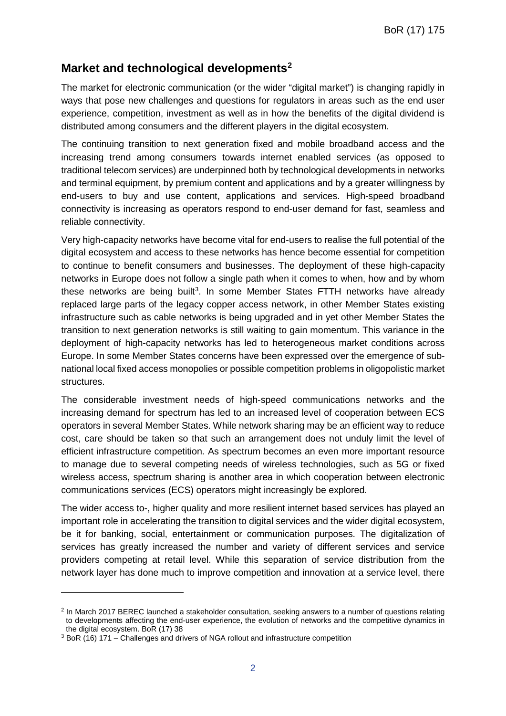# **Market and technological developments[2](#page-2-0)**

The market for electronic communication (or the wider "digital market") is changing rapidly in ways that pose new challenges and questions for regulators in areas such as the end user experience, competition, investment as well as in how the benefits of the digital dividend is distributed among consumers and the different players in the digital ecosystem.

The continuing transition to next generation fixed and mobile broadband access and the increasing trend among consumers towards internet enabled services (as opposed to traditional telecom services) are underpinned both by technological developments in networks and terminal equipment, by premium content and applications and by a greater willingness by end-users to buy and use content, applications and services. High-speed broadband connectivity is increasing as operators respond to end-user demand for fast, seamless and reliable connectivity.

Very high-capacity networks have become vital for end-users to realise the full potential of the digital ecosystem and access to these networks has hence become essential for competition to continue to benefit consumers and businesses. The deployment of these high-capacity networks in Europe does not follow a single path when it comes to when, how and by whom these networks are being built<sup>[3](#page-2-1)</sup>. In some Member States FTTH networks have already replaced large parts of the legacy copper access network, in other Member States existing infrastructure such as cable networks is being upgraded and in yet other Member States the transition to next generation networks is still waiting to gain momentum. This variance in the deployment of high-capacity networks has led to heterogeneous market conditions across Europe. In some Member States concerns have been expressed over the emergence of subnational local fixed access monopolies or possible competition problems in oligopolistic market structures.

The considerable investment needs of high-speed communications networks and the increasing demand for spectrum has led to an increased level of cooperation between ECS operators in several Member States. While network sharing may be an efficient way to reduce cost, care should be taken so that such an arrangement does not unduly limit the level of efficient infrastructure competition. As spectrum becomes an even more important resource to manage due to several competing needs of wireless technologies, such as 5G or fixed wireless access, spectrum sharing is another area in which cooperation between electronic communications services (ECS) operators might increasingly be explored.

The wider access to-, higher quality and more resilient internet based services has played an important role in accelerating the transition to digital services and the wider digital ecosystem, be it for banking, social, entertainment or communication purposes. The digitalization of services has greatly increased the number and variety of different services and service providers competing at retail level. While this separation of service distribution from the network layer has done much to improve competition and innovation at a service level, there

-

<span id="page-2-0"></span><sup>2</sup> In March 2017 BEREC launched a stakeholder consultation, seeking answers to a number of questions relating to developments affecting the end-user experience, the evolution of networks and the competitive dynamics in the digital ecosystem. BoR (17) 38

<span id="page-2-1"></span><sup>3</sup> BoR (16) 171 – Challenges and drivers of NGA rollout and infrastructure competition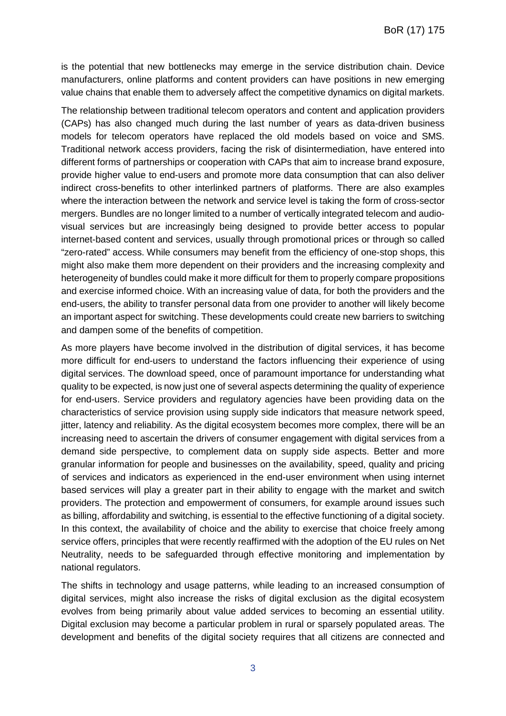is the potential that new bottlenecks may emerge in the service distribution chain. Device manufacturers, online platforms and content providers can have positions in new emerging value chains that enable them to adversely affect the competitive dynamics on digital markets.

The relationship between traditional telecom operators and content and application providers (CAPs) has also changed much during the last number of years as data-driven business models for telecom operators have replaced the old models based on voice and SMS. Traditional network access providers, facing the risk of disintermediation, have entered into different forms of partnerships or cooperation with CAPs that aim to increase brand exposure, provide higher value to end-users and promote more data consumption that can also deliver indirect cross-benefits to other interlinked partners of platforms. There are also examples where the interaction between the network and service level is taking the form of cross-sector mergers. Bundles are no longer limited to a number of vertically integrated telecom and audiovisual services but are increasingly being designed to provide better access to popular internet-based content and services, usually through promotional prices or through so called "zero-rated" access. While consumers may benefit from the efficiency of one-stop shops, this might also make them more dependent on their providers and the increasing complexity and heterogeneity of bundles could make it more difficult for them to properly compare propositions and exercise informed choice. With an increasing value of data, for both the providers and the end-users, the ability to transfer personal data from one provider to another will likely become an important aspect for switching. These developments could create new barriers to switching and dampen some of the benefits of competition.

As more players have become involved in the distribution of digital services, it has become more difficult for end-users to understand the factors influencing their experience of using digital services. The download speed, once of paramount importance for understanding what quality to be expected, is now just one of several aspects determining the quality of experience for end-users. Service providers and regulatory agencies have been providing data on the characteristics of service provision using supply side indicators that measure network speed, jitter, latency and reliability. As the digital ecosystem becomes more complex, there will be an increasing need to ascertain the drivers of consumer engagement with digital services from a demand side perspective, to complement data on supply side aspects. Better and more granular information for people and businesses on the availability, speed, quality and pricing of services and indicators as experienced in the end-user environment when using internet based services will play a greater part in their ability to engage with the market and switch providers. The protection and empowerment of consumers, for example around issues such as billing, affordability and switching, is essential to the effective functioning of a digital society. In this context, the availability of choice and the ability to exercise that choice freely among service offers, principles that were recently reaffirmed with the adoption of the EU rules on Net Neutrality, needs to be safeguarded through effective monitoring and implementation by national regulators.

The shifts in technology and usage patterns, while leading to an increased consumption of digital services, might also increase the risks of digital exclusion as the digital ecosystem evolves from being primarily about value added services to becoming an essential utility. Digital exclusion may become a particular problem in rural or sparsely populated areas. The development and benefits of the digital society requires that all citizens are connected and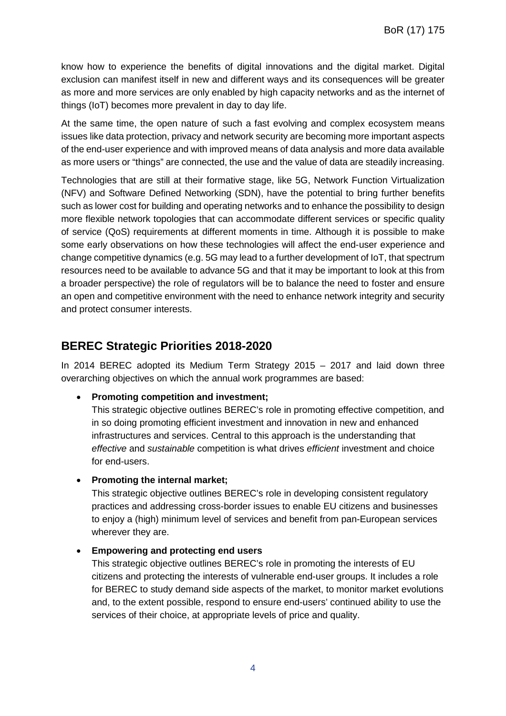know how to experience the benefits of digital innovations and the digital market. Digital exclusion can manifest itself in new and different ways and its consequences will be greater as more and more services are only enabled by high capacity networks and as the internet of things (IoT) becomes more prevalent in day to day life.

At the same time, the open nature of such a fast evolving and complex ecosystem means issues like data protection, privacy and network security are becoming more important aspects of the end-user experience and with improved means of data analysis and more data available as more users or "things" are connected, the use and the value of data are steadily increasing.

Technologies that are still at their formative stage, like 5G, Network Function Virtualization (NFV) and Software Defined Networking (SDN), have the potential to bring further benefits such as lower cost for building and operating networks and to enhance the possibility to design more flexible network topologies that can accommodate different services or specific quality of service (QoS) requirements at different moments in time. Although it is possible to make some early observations on how these technologies will affect the end-user experience and change competitive dynamics (e.g. 5G may lead to a further development of IoT, that spectrum resources need to be available to advance 5G and that it may be important to look at this from a broader perspective) the role of regulators will be to balance the need to foster and ensure an open and competitive environment with the need to enhance network integrity and security and protect consumer interests.

## **BEREC Strategic Priorities 2018-2020**

In 2014 BEREC adopted its Medium Term Strategy 2015 – 2017 and laid down three overarching objectives on which the annual work programmes are based:

• **Promoting competition and investment;**

This strategic objective outlines BEREC's role in promoting effective competition, and in so doing promoting efficient investment and innovation in new and enhanced infrastructures and services. Central to this approach is the understanding that *effective* and *sustainable* competition is what drives *efficient* investment and choice for end-users.

• **Promoting the internal market;**

This strategic objective outlines BEREC's role in developing consistent regulatory practices and addressing cross-border issues to enable EU citizens and businesses to enjoy a (high) minimum level of services and benefit from pan-European services wherever they are.

• **Empowering and protecting end users**

This strategic objective outlines BEREC's role in promoting the interests of EU citizens and protecting the interests of vulnerable end-user groups. It includes a role for BEREC to study demand side aspects of the market, to monitor market evolutions and, to the extent possible, respond to ensure end-users' continued ability to use the services of their choice, at appropriate levels of price and quality.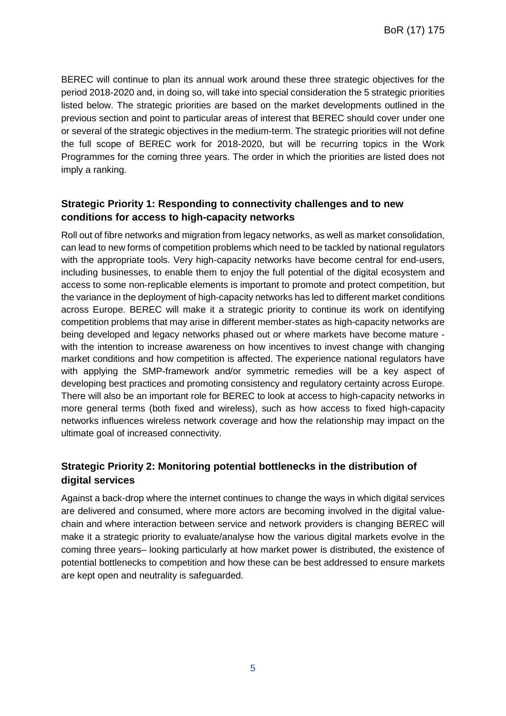BEREC will continue to plan its annual work around these three strategic objectives for the period 2018-2020 and, in doing so, will take into special consideration the 5 strategic priorities listed below. The strategic priorities are based on the market developments outlined in the previous section and point to particular areas of interest that BEREC should cover under one or several of the strategic objectives in the medium-term. The strategic priorities will not define the full scope of BEREC work for 2018-2020, but will be recurring topics in the Work Programmes for the coming three years. The order in which the priorities are listed does not imply a ranking.

#### **Strategic Priority 1: Responding to connectivity challenges and to new conditions for access to high-capacity networks**

Roll out of fibre networks and migration from legacy networks, as well as market consolidation, can lead to new forms of competition problems which need to be tackled by national regulators with the appropriate tools. Very high-capacity networks have become central for end-users, including businesses, to enable them to enjoy the full potential of the digital ecosystem and access to some non-replicable elements is important to promote and protect competition, but the variance in the deployment of high-capacity networks has led to different market conditions across Europe. BEREC will make it a strategic priority to continue its work on identifying competition problems that may arise in different member-states as high-capacity networks are being developed and legacy networks phased out or where markets have become mature with the intention to increase awareness on how incentives to invest change with changing market conditions and how competition is affected. The experience national regulators have with applying the SMP-framework and/or symmetric remedies will be a key aspect of developing best practices and promoting consistency and regulatory certainty across Europe. There will also be an important role for BEREC to look at access to high-capacity networks in more general terms (both fixed and wireless), such as how access to fixed high-capacity networks influences wireless network coverage and how the relationship may impact on the ultimate goal of increased connectivity.

## **Strategic Priority 2: Monitoring potential bottlenecks in the distribution of digital services**

Against a back-drop where the internet continues to change the ways in which digital services are delivered and consumed, where more actors are becoming involved in the digital valuechain and where interaction between service and network providers is changing BEREC will make it a strategic priority to evaluate/analyse how the various digital markets evolve in the coming three years– looking particularly at how market power is distributed, the existence of potential bottlenecks to competition and how these can be best addressed to ensure markets are kept open and neutrality is safeguarded.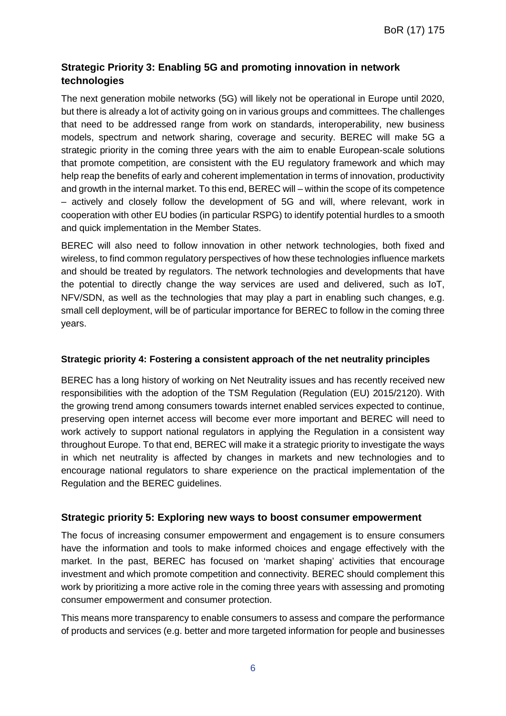## **Strategic Priority 3: Enabling 5G and promoting innovation in network technologies**

The next generation mobile networks (5G) will likely not be operational in Europe until 2020, but there is already a lot of activity going on in various groups and committees. The challenges that need to be addressed range from work on standards, interoperability, new business models, spectrum and network sharing, coverage and security. BEREC will make 5G a strategic priority in the coming three years with the aim to enable European-scale solutions that promote competition, are consistent with the EU regulatory framework and which may help reap the benefits of early and coherent implementation in terms of innovation, productivity and growth in the internal market. To this end, BEREC will – within the scope of its competence – actively and closely follow the development of 5G and will, where relevant, work in cooperation with other EU bodies (in particular RSPG) to identify potential hurdles to a smooth and quick implementation in the Member States.

BEREC will also need to follow innovation in other network technologies, both fixed and wireless, to find common regulatory perspectives of how these technologies influence markets and should be treated by regulators. The network technologies and developments that have the potential to directly change the way services are used and delivered, such as IoT, NFV/SDN, as well as the technologies that may play a part in enabling such changes, e.g. small cell deployment, will be of particular importance for BEREC to follow in the coming three years.

#### **Strategic priority 4: Fostering a consistent approach of the net neutrality principles**

BEREC has a long history of working on Net Neutrality issues and has recently received new responsibilities with the adoption of the TSM Regulation (Regulation (EU) 2015/2120). With the growing trend among consumers towards internet enabled services expected to continue, preserving open internet access will become ever more important and BEREC will need to work actively to support national regulators in applying the Regulation in a consistent way throughout Europe. To that end, BEREC will make it a strategic priority to investigate the ways in which net neutrality is affected by changes in markets and new technologies and to encourage national regulators to share experience on the practical implementation of the Regulation and the BEREC guidelines.

#### **Strategic priority 5: Exploring new ways to boost consumer empowerment**

The focus of increasing consumer empowerment and engagement is to ensure consumers have the information and tools to make informed choices and engage effectively with the market. In the past, BEREC has focused on 'market shaping' activities that encourage investment and which promote competition and connectivity. BEREC should complement this work by prioritizing a more active role in the coming three years with assessing and promoting consumer empowerment and consumer protection.

This means more transparency to enable consumers to assess and compare the performance of products and services (e.g. better and more targeted information for people and businesses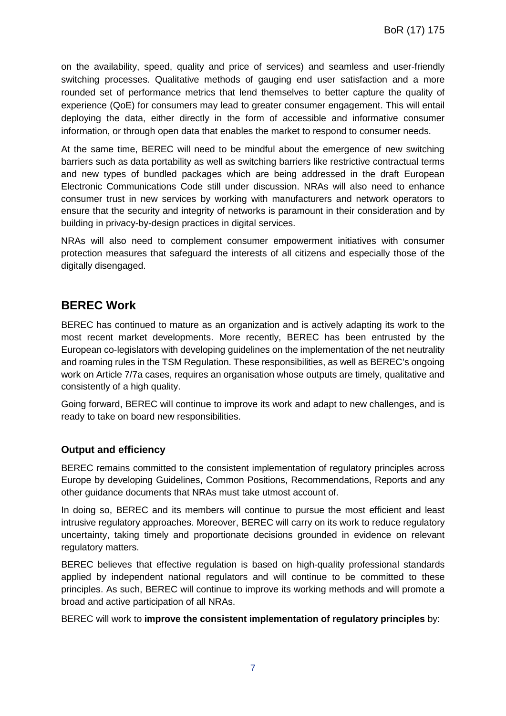on the availability, speed, quality and price of services) and seamless and user-friendly switching processes. Qualitative methods of gauging end user satisfaction and a more rounded set of performance metrics that lend themselves to better capture the quality of experience (QoE) for consumers may lead to greater consumer engagement. This will entail deploying the data, either directly in the form of accessible and informative consumer information, or through open data that enables the market to respond to consumer needs.

At the same time, BEREC will need to be mindful about the emergence of new switching barriers such as data portability as well as switching barriers like restrictive contractual terms and new types of bundled packages which are being addressed in the draft European Electronic Communications Code still under discussion. NRAs will also need to enhance consumer trust in new services by working with manufacturers and network operators to ensure that the security and integrity of networks is paramount in their consideration and by building in privacy-by-design practices in digital services.

NRAs will also need to complement consumer empowerment initiatives with consumer protection measures that safeguard the interests of all citizens and especially those of the digitally disengaged.

## **BEREC Work**

BEREC has continued to mature as an organization and is actively adapting its work to the most recent market developments. More recently, BEREC has been entrusted by the European co-legislators with developing guidelines on the implementation of the net neutrality and roaming rules in the TSM Regulation. These responsibilities, as well as BEREC's ongoing work on Article 7/7a cases, requires an organisation whose outputs are timely, qualitative and consistently of a high quality.

Going forward, BEREC will continue to improve its work and adapt to new challenges, and is ready to take on board new responsibilities.

#### **Output and efficiency**

BEREC remains committed to the consistent implementation of regulatory principles across Europe by developing Guidelines, Common Positions, Recommendations, Reports and any other guidance documents that NRAs must take utmost account of.

In doing so, BEREC and its members will continue to pursue the most efficient and least intrusive regulatory approaches. Moreover, BEREC will carry on its work to reduce regulatory uncertainty, taking timely and proportionate decisions grounded in evidence on relevant regulatory matters.

BEREC believes that effective regulation is based on high-quality professional standards applied by independent national regulators and will continue to be committed to these principles. As such, BEREC will continue to improve its working methods and will promote a broad and active participation of all NRAs.

BEREC will work to **improve the consistent implementation of regulatory principles** by: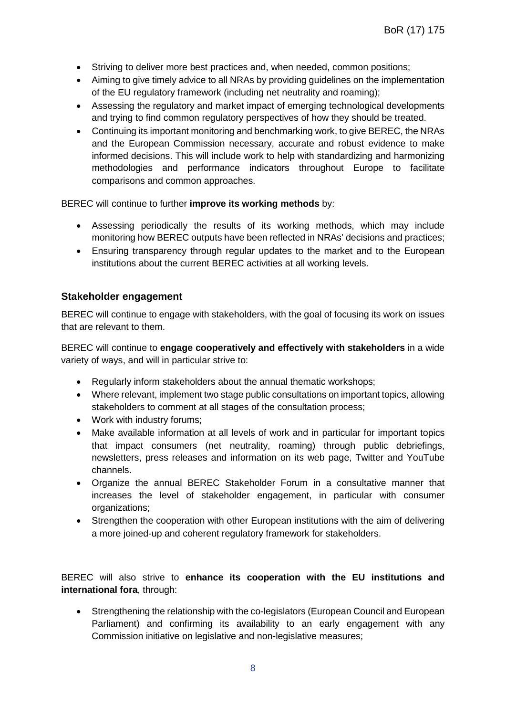- Striving to deliver more best practices and, when needed, common positions;
- Aiming to give timely advice to all NRAs by providing guidelines on the implementation of the EU regulatory framework (including net neutrality and roaming);
- Assessing the regulatory and market impact of emerging technological developments and trying to find common regulatory perspectives of how they should be treated.
- Continuing its important monitoring and benchmarking work, to give BEREC, the NRAs and the European Commission necessary, accurate and robust evidence to make informed decisions. This will include work to help with standardizing and harmonizing methodologies and performance indicators throughout Europe to facilitate comparisons and common approaches.

BEREC will continue to further **improve its working methods** by:

- Assessing periodically the results of its working methods, which may include monitoring how BEREC outputs have been reflected in NRAs' decisions and practices;
- Ensuring transparency through regular updates to the market and to the European institutions about the current BEREC activities at all working levels.

#### **Stakeholder engagement**

BEREC will continue to engage with stakeholders, with the goal of focusing its work on issues that are relevant to them.

BEREC will continue to **engage cooperatively and effectively with stakeholders** in a wide variety of ways, and will in particular strive to:

- Regularly inform stakeholders about the annual thematic workshops;
- Where relevant, implement two stage public consultations on important topics, allowing stakeholders to comment at all stages of the consultation process;
- Work with industry forums;
- Make available information at all levels of work and in particular for important topics that impact consumers (net neutrality, roaming) through public debriefings, newsletters, press releases and information on its web page, Twitter and YouTube channels.
- Organize the annual BEREC Stakeholder Forum in a consultative manner that increases the level of stakeholder engagement, in particular with consumer organizations;
- Strengthen the cooperation with other European institutions with the aim of delivering a more joined-up and coherent regulatory framework for stakeholders.

BEREC will also strive to **enhance its cooperation with the EU institutions and international fora**, through:

• Strengthening the relationship with the co-legislators (European Council and European Parliament) and confirming its availability to an early engagement with any Commission initiative on legislative and non-legislative measures;